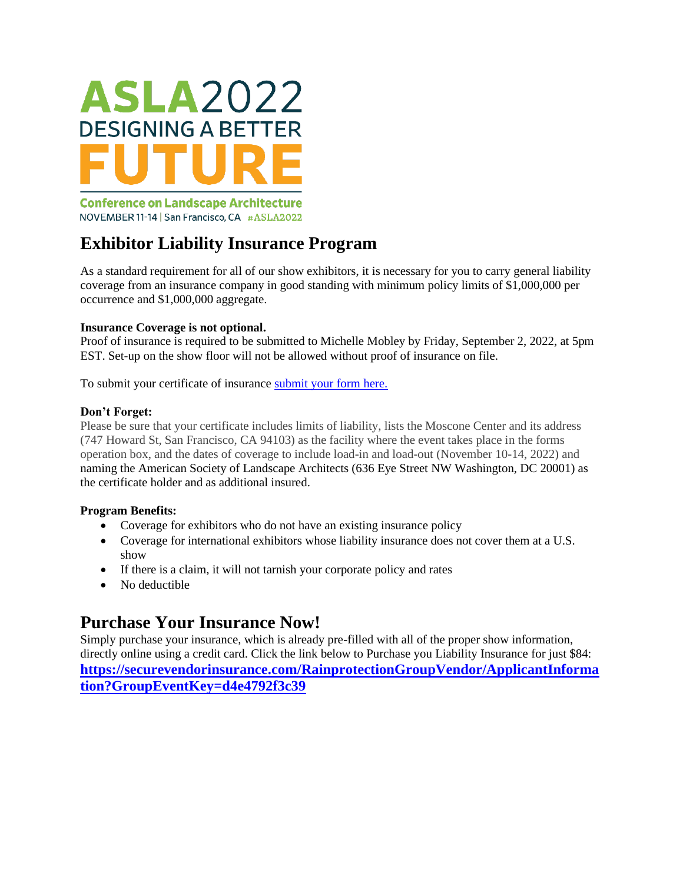

**Conference on Landscape Architecture** NOVEMBER 11-14 | San Francisco, CA #ASLA2022

# **Exhibitor Liability Insurance Program**

As a standard requirement for all of our show exhibitors, it is necessary for you to carry general liability coverage from an insurance company in good standing with minimum policy limits of \$1,000,000 per occurrence and \$1,000,000 aggregate.

#### **Insurance Coverage is not optional.**

Proof of insurance is required to be submitted to Michelle Mobley by Friday, September 2, 2022, at 5pm EST. Set-up on the show floor will not be allowed without proof of insurance on file.

To submit your certificate of insurance [submit your form here.](https://pwc.wufoo.com/forms/z54363j0bbl7ov/)

#### **Don't Forget:**

Please be sure that your certificate includes limits of liability, lists the Moscone Center and its address (747 Howard St, San Francisco, CA 94103) as the facility where the event takes place in the forms operation box, and the dates of coverage to include load-in and load-out (November 10-14, 2022) and naming the American Society of Landscape Architects (636 Eye Street NW Washington, DC 20001) as the certificate holder and as additional insured.

#### **Program Benefits:**

- Coverage for exhibitors who do not have an existing insurance policy
- Coverage for international exhibitors whose liability insurance does not cover them at a U.S. show
- If there is a claim, it will not tarnish your corporate policy and rates
- No deductible

## **Purchase Your Insurance Now!**

Simply purchase your insurance, which is already pre-filled with all of the proper show information, directly online using a credit card. Click the link below to Purchase you Liability Insurance for just \$84: **[https://securevendorinsurance.com/RainprotectionGroupVendor/ApplicantInforma](https://securevendorinsurance.com/RainprotectionGroupVendor/ApplicantInformation?GroupEventKey=d4e4792f3c39) [tion?GroupEventKey=d4e4792f3c39](https://securevendorinsurance.com/RainprotectionGroupVendor/ApplicantInformation?GroupEventKey=d4e4792f3c39)**